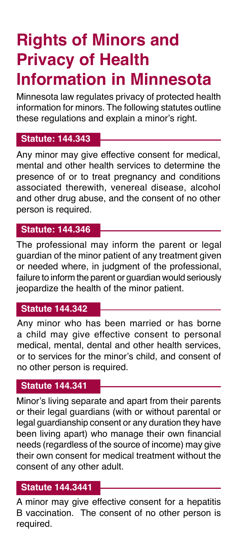# **Rights of Minors and Privacy of Health Information in Minnesota**

Minnesota law regulates privacy of protected health information for minors. The following statutes outline these regulations and explain a minor's right.

## **Statute: 144.343**

Any minor may give effective consent for medical, mental and other health services to determine the presence of or to treat pregnancy and conditions associated therewith, venereal disease, alcohol and other drug abuse, and the consent of no other person is required.

#### **Statute: 144.346**

The professional may inform the parent or legal guardian of the minor patient of any treatment given or needed where, in judgment of the professional, failure to inform the parent or guardian would seriously jeopardize the health of the minor patient.

#### **Statute 144.342**

Any minor who has been married or has borne a child may give effective consent to personal medical, mental, dental and other health services, or to services for the minor's child, and consent of no other person is required.

## **Statute 144.341**

Minor's living separate and apart from their parents or their legal guardians (with or without parental or legal guardianship consent or any duration they have been living apart) who manage their own financial needs (regardless of the source of income) may give their own consent for medical treatment without the consent of any other adult.

### **Statute 144.3441**

A minor may give effective consent for a hepatitis B vaccination. The consent of no other person is required.